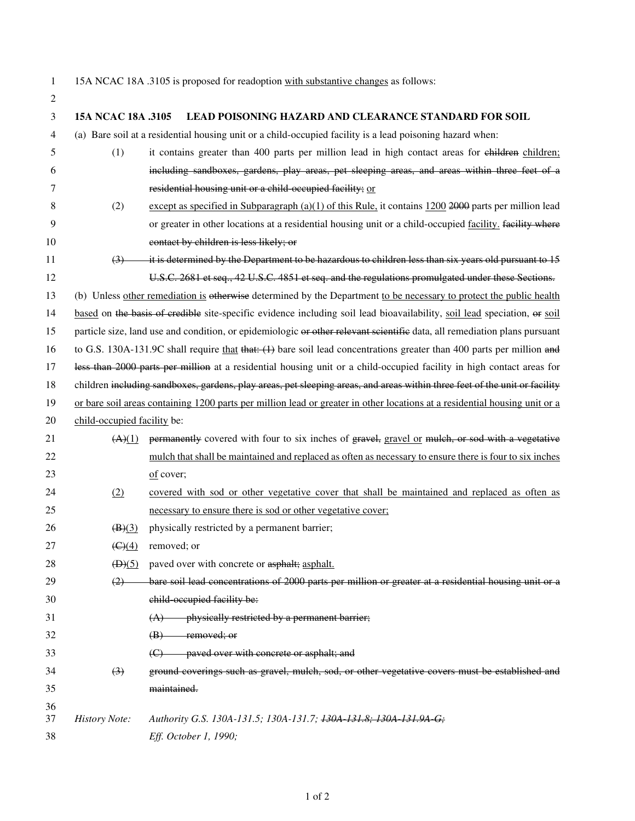- $\overline{2}$
- 1 15A NCAC 18A .3105 is proposed for readoption with substantive changes as follows:

| 2  |                                                                                                                            |                                                                                                                           |
|----|----------------------------------------------------------------------------------------------------------------------------|---------------------------------------------------------------------------------------------------------------------------|
| 3  | 15A NCAC 18A .3105                                                                                                         | <b>LEAD POISONING HAZARD AND CLEARANCE STANDARD FOR SOIL</b>                                                              |
| 4  |                                                                                                                            | (a) Bare soil at a residential housing unit or a child-occupied facility is a lead poisoning hazard when:                 |
| 5  | (1)                                                                                                                        | it contains greater than 400 parts per million lead in high contact areas for children children;                          |
| 6  |                                                                                                                            | including sandboxes, gardens, play areas, pet sleeping areas, and areas within three feet of a                            |
| 7  |                                                                                                                            | residential housing unit or a child-occupied facility; or                                                                 |
| 8  | (2)                                                                                                                        | except as specified in Subparagraph (a)(1) of this Rule, it contains 1200 2000 parts per million lead                     |
| 9  |                                                                                                                            | or greater in other locations at a residential housing unit or a child-occupied facility, facility where                  |
| 10 |                                                                                                                            | contact by children is less likely; or                                                                                    |
| 11 | (3)                                                                                                                        | it is determined by the Department to be hazardous to children less than six years old pursuant to 15                     |
| 12 |                                                                                                                            | U.S.C. 2681 et seq., 42 U.S.C. 4851 et seq. and the regulations promulgated under these Sections.                         |
| 13 |                                                                                                                            | (b) Unless other remediation is otherwise determined by the Department to be necessary to protect the public health       |
| 14 |                                                                                                                            | based on the basis of credible site-specific evidence including soil lead bioavailability, soil lead speciation, or soil  |
| 15 |                                                                                                                            | particle size, land use and condition, or epidemiologic or other relevant scientific data, all remediation plans pursuant |
| 16 |                                                                                                                            | to G.S. 130A-131.9C shall require that that: $(1)$ bare soil lead concentrations greater than 400 parts per million and   |
| 17 | less than 2000 parts per million at a residential housing unit or a child-occupied facility in high contact areas for      |                                                                                                                           |
| 18 | children including sandboxes, gardens, play areas, pet sleeping areas, and areas within three feet of the unit or facility |                                                                                                                           |
| 19 | or bare soil areas containing 1200 parts per million lead or greater in other locations at a residential housing unit or a |                                                                                                                           |
| 20 | child-occupied facility be:                                                                                                |                                                                                                                           |
| 21 | (A)(1)                                                                                                                     | permanently covered with four to six inches of gravel, gravel or mulch, or sod with a vegetative                          |
| 22 |                                                                                                                            | mulch that shall be maintained and replaced as often as necessary to ensure there is four to six inches                   |
| 23 |                                                                                                                            | of cover;                                                                                                                 |
| 24 | (2)                                                                                                                        | covered with sod or other vegetative cover that shall be maintained and replaced as often as                              |
| 25 |                                                                                                                            | necessary to ensure there is sod or other vegetative cover;                                                               |
| 26 | $\left(\frac{B(3)}{2}\right)$                                                                                              | physically restricted by a permanent barrier;                                                                             |
| 27 | $\left(\frac{C}{4}\right)$                                                                                                 | removed; or                                                                                                               |
| 28 |                                                                                                                            | (D)(5) paved over with concrete or asphalt; asphalt.                                                                      |
| 29 | (2)                                                                                                                        | bare soil lead concentrations of 2000 parts per million or greater at a residential housing unit or a                     |
| 30 |                                                                                                                            | child occupied facility be:                                                                                               |
| 31 |                                                                                                                            | physically restricted by a permanent barrier;<br>(A)                                                                      |
| 32 |                                                                                                                            | <del>removed; or</del><br>$\left( \mathbf{B} \right)$                                                                     |
| 33 |                                                                                                                            | paved over with concrete or asphalt; and<br>$\Theta$                                                                      |
| 34 | $\left(3\right)$                                                                                                           | ground coverings such as gravel, mulch, sod, or other vegetative covers must be established and                           |
| 35 |                                                                                                                            | maintained.                                                                                                               |
| 36 |                                                                                                                            |                                                                                                                           |
| 37 | <b>History Note:</b>                                                                                                       | Authority G.S. 130A-131.5; 130A-131.7; <del>130A-131.8; 130A-131.9A-G;</del>                                              |
| 38 |                                                                                                                            | Eff. October 1, 1990;                                                                                                     |